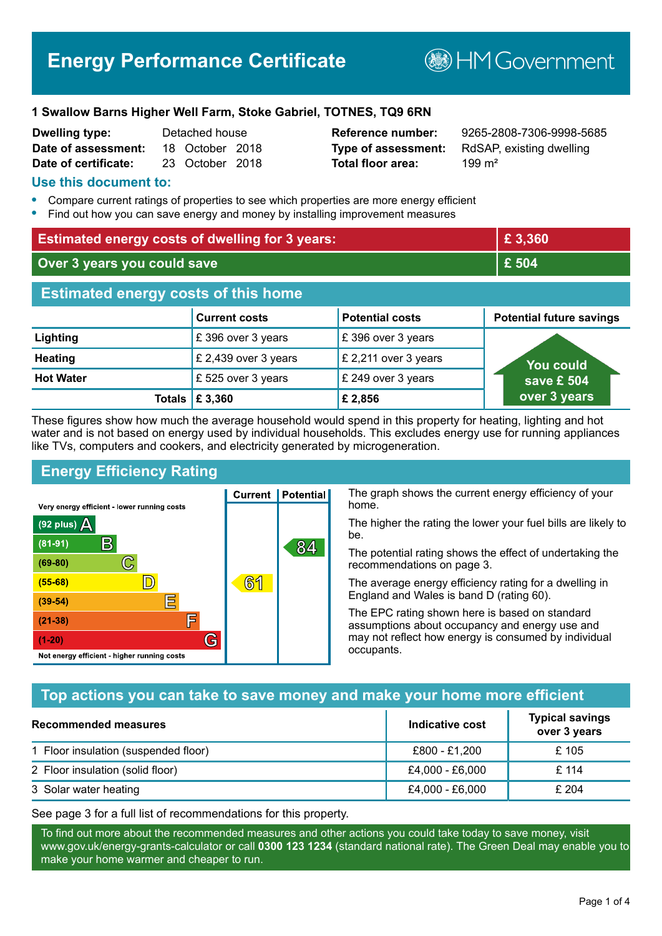# **Energy Performance Certificate**

**BHM Government** 

#### **1 Swallow Barns Higher Well Farm, Stoke Gabriel, TOTNES, TQ9 6RN**

| <b>Dwelling type:</b> | Detached house |                 |  |
|-----------------------|----------------|-----------------|--|
| Date of assessment:   |                | 18 October 2018 |  |
| Date of certificate:  |                | 23 October 2018 |  |

# **Total floor area:** 299 m<sup>2</sup>

**Reference number:** 9265-2808-7306-9998-5685 **Type of assessment:** RdSAP, existing dwelling

#### **Use this document to:**

- **•** Compare current ratings of properties to see which properties are more energy efficient
- **•** Find out how you can save energy and money by installing improvement measures

| <b>Estimated energy costs of dwelling for 3 years:</b> |                                 | £3,360                 |                                 |
|--------------------------------------------------------|---------------------------------|------------------------|---------------------------------|
| Over 3 years you could save                            |                                 | £ 504                  |                                 |
| <b>Estimated energy costs of this home</b>             |                                 |                        |                                 |
|                                                        | <b>Current costs</b>            | <b>Potential costs</b> | <b>Potential future savings</b> |
| Lighting                                               | £396 over 3 years               | £396 over 3 years      |                                 |
| <b>Heating</b>                                         | £ 2,439 over 3 years            | £ 2,211 over 3 years   | <b>You could</b>                |
| <b>Hot Water</b>                                       | £525 over 3 years               | £ 249 over 3 years     | save £ 504                      |
|                                                        | Totals $\mathbf \mathbf 5$ ,360 | £ 2,856                | over 3 years                    |

These figures show how much the average household would spend in this property for heating, lighting and hot water and is not based on energy used by individual households. This excludes energy use for running appliances like TVs, computers and cookers, and electricity generated by microgeneration.

**Current | Potential** 

**61** 

# **Energy Efficiency Rating**

 $\mathbb{C}$ 

D)

E

E

G

Very energy efficient - lower running costs

 $\mathsf{R}% _{T}$ 

Not energy efficient - higher running costs

 $(92$  plus)

 $(81 - 91)$ 

 $(69 - 80)$ 

 $(55-68)$ 

 $(39 - 54)$  $(21-38)$ 

 $(1-20)$ 

- 78

The graph shows the current energy efficiency of your home.

The higher the rating the lower your fuel bills are likely to be.

The potential rating shows the effect of undertaking the recommendations on page 3.

The average energy efficiency rating for a dwelling in England and Wales is band D (rating 60).

The EPC rating shown here is based on standard assumptions about occupancy and energy use and may not reflect how energy is consumed by individual occupants.

#### **Top actions you can take to save money and make your home more efficient**

84

| <b>Recommended measures</b>          | Indicative cost | <b>Typical savings</b><br>over 3 years |
|--------------------------------------|-----------------|----------------------------------------|
| 1 Floor insulation (suspended floor) | £800 - £1,200   | £ 105                                  |
| 2 Floor insulation (solid floor)     | £4,000 - £6,000 | £ 114                                  |
| 3 Solar water heating                | £4,000 - £6,000 | £204                                   |

See page 3 for a full list of recommendations for this property.

To find out more about the recommended measures and other actions you could take today to save money, visit www.gov.uk/energy-grants-calculator or call **0300 123 1234** (standard national rate). The Green Deal may enable you to make your home warmer and cheaper to run.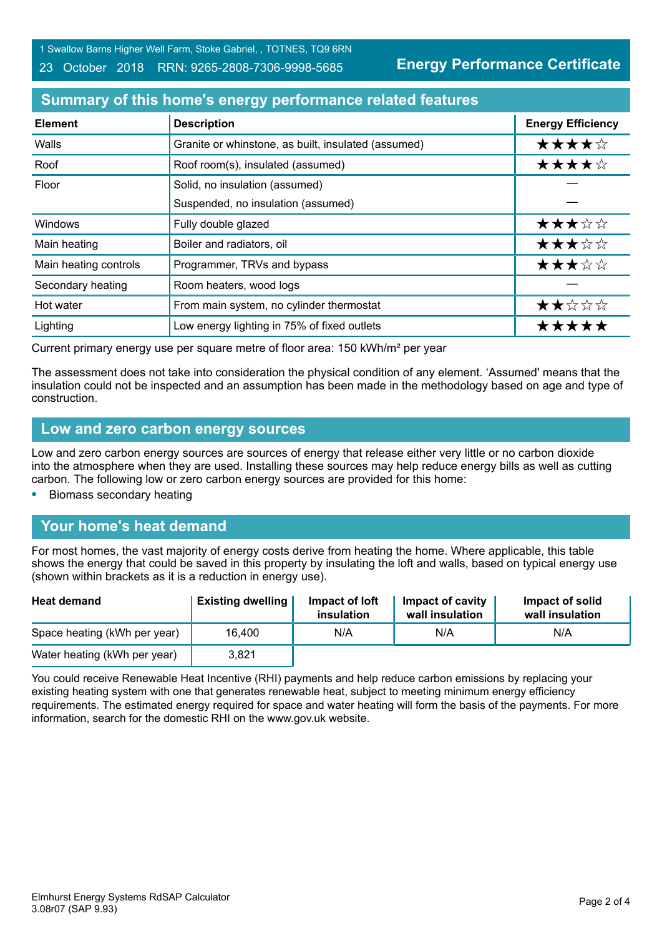1 Swallow Barns Higher Well Farm, Stoke Gabriel, , TOTNES, TQ9 6RN

#### 23 October 2018 RRN: 9265-2808-7306-9998-5685

**Energy Performance Certificate**

# **Summary of this home's energy performance related features**

| <b>Element</b>        | <b>Description</b>                                  | <b>Energy Efficiency</b> |
|-----------------------|-----------------------------------------------------|--------------------------|
| Walls                 | Granite or whinstone, as built, insulated (assumed) | ★★★★☆                    |
| Roof                  | Roof room(s), insulated (assumed)                   | ★★★★☆                    |
| Floor                 | Solid, no insulation (assumed)                      |                          |
|                       | Suspended, no insulation (assumed)                  |                          |
| Windows               | Fully double glazed                                 | ★★★☆☆                    |
| Main heating          | Boiler and radiators, oil                           | ★★★☆☆                    |
| Main heating controls | Programmer, TRVs and bypass                         | ★★★☆☆                    |
| Secondary heating     | Room heaters, wood logs                             |                          |
| Hot water             | From main system, no cylinder thermostat            | ★★☆☆☆                    |
| Lighting              | Low energy lighting in 75% of fixed outlets         | *****                    |

Current primary energy use per square metre of floor area: 150 kWh/m² per year

The assessment does not take into consideration the physical condition of any element. 'Assumed' means that the insulation could not be inspected and an assumption has been made in the methodology based on age and type of construction.

#### **Low and zero carbon energy sources**

Low and zero carbon energy sources are sources of energy that release either very little or no carbon dioxide into the atmosphere when they are used. Installing these sources may help reduce energy bills as well as cutting carbon. The following low or zero carbon energy sources are provided for this home:

**•** Biomass secondary heating

#### **Your home's heat demand**

For most homes, the vast majority of energy costs derive from heating the home. Where applicable, this table shows the energy that could be saved in this property by insulating the loft and walls, based on typical energy use (shown within brackets as it is a reduction in energy use).

| <b>Heat demand</b>           | <b>Existing dwelling</b> | Impact of loft<br>insulation | Impact of cavity<br>wall insulation | Impact of solid<br>wall insulation |
|------------------------------|--------------------------|------------------------------|-------------------------------------|------------------------------------|
| Space heating (kWh per year) | 16.400                   | N/A                          | N/A                                 | N/A                                |
| Water heating (kWh per year) | 3.821                    |                              |                                     |                                    |

You could receive Renewable Heat Incentive (RHI) payments and help reduce carbon emissions by replacing your existing heating system with one that generates renewable heat, subject to meeting minimum energy efficiency requirements. The estimated energy required for space and water heating will form the basis of the payments. For more information, search for the domestic RHI on the www.gov.uk website.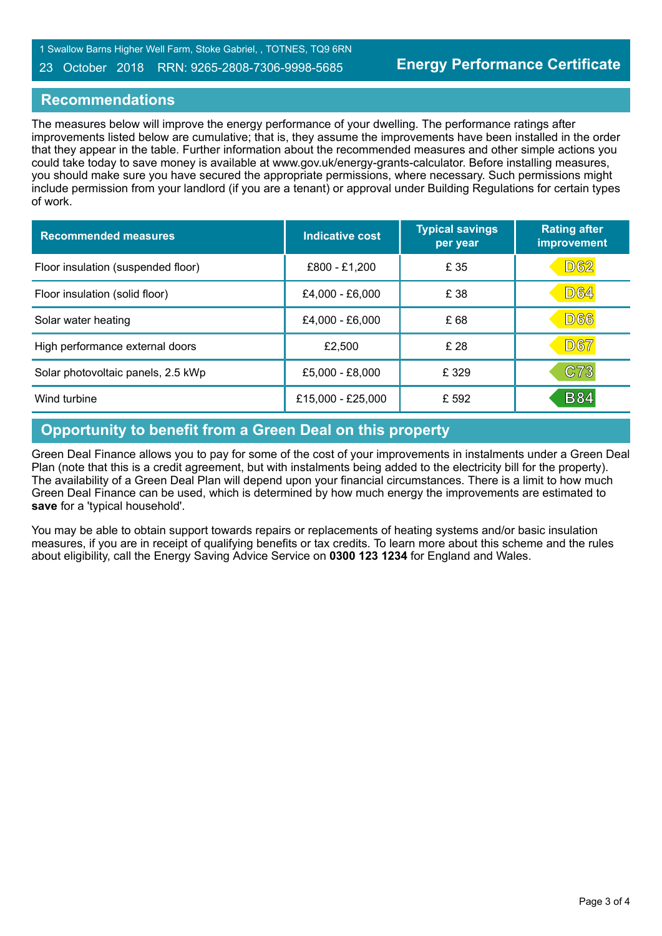#### 23 October 2018 RRN: 9265-2808-7306-9998-5685

#### **Recommendations**

The measures below will improve the energy performance of your dwelling. The performance ratings after improvements listed below are cumulative; that is, they assume the improvements have been installed in the order that they appear in the table. Further information about the recommended measures and other simple actions you could take today to save money is available at www.gov.uk/energy-grants-calculator. Before installing measures, you should make sure you have secured the appropriate permissions, where necessary. Such permissions might include permission from your landlord (if you are a tenant) or approval under Building Regulations for certain types of work.

| <b>Recommended measures</b>        | <b>Indicative cost</b> | <b>Typical savings</b><br>per year | <b>Rating after</b><br>improvement |
|------------------------------------|------------------------|------------------------------------|------------------------------------|
| Floor insulation (suspended floor) | £800 - £1,200          | £ 35                               | D62                                |
| Floor insulation (solid floor)     | £4,000 - £6,000        | £ 38                               | <b>D64</b>                         |
| Solar water heating                | £4,000 - £6,000        | £68                                | <b>D66</b>                         |
| High performance external doors    | £2,500                 | £ 28                               | <b>D67</b>                         |
| Solar photovoltaic panels, 2.5 kWp | £5,000 - £8,000        | £ 329                              | C73                                |
| Wind turbine                       | £15,000 - £25,000      | £ 592                              | <b>B84</b>                         |

# **Opportunity to benefit from a Green Deal on this property**

Green Deal Finance allows you to pay for some of the cost of your improvements in instalments under a Green Deal Plan (note that this is a credit agreement, but with instalments being added to the electricity bill for the property). The availability of a Green Deal Plan will depend upon your financial circumstances. There is a limit to how much Green Deal Finance can be used, which is determined by how much energy the improvements are estimated to **save** for a 'typical household'.

You mav be able to obtain support towards repairs or replacements of heating systems and/or basic insulation measures, if you are in receipt of qualifying benefits or tax credits. To learn more about this scheme and the rules about eligibility, call the Energy Saving Advice Service on **0300 123 1234** for England and Wales.